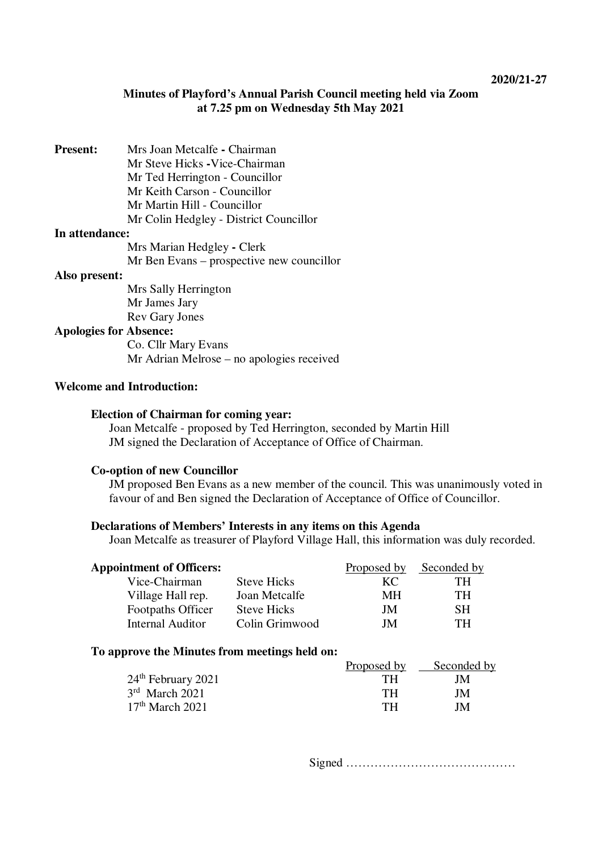## **Minutes of Playford's Annual Parish Council meeting held via Zoom at 7.25 pm on Wednesday 5th May 2021**

**Present:** Mrs Joan Metcalfe **-** Chairman Mr Steve Hicks **-**Vice-Chairman Mr Ted Herrington - Councillor Mr Keith Carson - Councillor Mr Martin Hill - Councillor Mr Colin Hedgley - District Councillor

#### **In attendance:**

Mrs Marian Hedgley **-** Clerk Mr Ben Evans – prospective new councillor

#### **Also present:**

Mrs Sally Herrington Mr James Jary Rev Gary Jones

### **Apologies for Absence:**

Co. Cllr Mary Evans Mr Adrian Melrose – no apologies received

### **Welcome and Introduction:**

### **Election of Chairman for coming year:**

Joan Metcalfe - proposed by Ted Herrington, seconded by Martin Hill JM signed the Declaration of Acceptance of Office of Chairman.

#### **Co-option of new Councillor**

JM proposed Ben Evans as a new member of the council. This was unanimously voted in favour of and Ben signed the Declaration of Acceptance of Office of Councillor.

### **Declarations of Members' Interests in any items on this Agenda**

Joan Metcalfe as treasurer of Playford Village Hall, this information was duly recorded.

| <b>Appointment of Officers:</b> |                    | Proposed by | Seconded by |
|---------------------------------|--------------------|-------------|-------------|
| Vice-Chairman                   | <b>Steve Hicks</b> | KC.         | TН          |
| Village Hall rep.               | Joan Metcalfe      | MН          | TH.         |
| Footpaths Officer               | <b>Steve Hicks</b> | JM          | SН          |
| Internal Auditor                | Colin Grimwood     | JM          | TН          |

#### **To approve the Minutes from meetings held on:**

|                      | Proposed by | Seconded by |
|----------------------|-------------|-------------|
| $24th$ February 2021 | TН          | JΜ          |
| $3rd$ March 2021     | TН          | JM          |
| $17th$ March 2021    | TН          | JM          |

Signed ……………………………………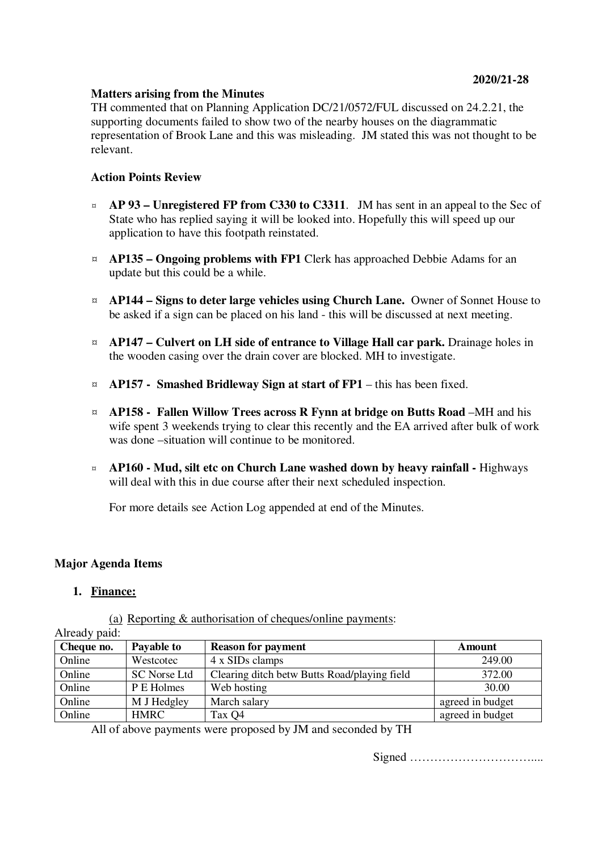### **Matters arising from the Minutes**

TH commented that on Planning Application DC/21/0572/FUL discussed on 24.2.21, the supporting documents failed to show two of the nearby houses on the diagrammatic representation of Brook Lane and this was misleading. JM stated this was not thought to be relevant.

## **Action Points Review**

- ¤ **AP 93 Unregistered FP from C330 to C3311**. JM has sent in an appeal to the Sec of State who has replied saying it will be looked into. Hopefully this will speed up our application to have this footpath reinstated.
- ¤ **AP135 Ongoing problems with FP1** Clerk has approached Debbie Adams for an update but this could be a while.
- ¤ **AP144 Signs to deter large vehicles using Church Lane.** Owner of Sonnet House to be asked if a sign can be placed on his land - this will be discussed at next meeting.
- ¤ **AP147 Culvert on LH side of entrance to Village Hall car park.** Drainage holes in the wooden casing over the drain cover are blocked. MH to investigate.
- ¤ **AP157 Smashed Bridleway Sign at start of FP1** this has been fixed.
- ¤ **AP158 Fallen Willow Trees across R Fynn at bridge on Butts Road** –MH and his wife spent 3 weekends trying to clear this recently and the EA arrived after bulk of work was done –situation will continue to be monitored.
- ¤ **AP160 Mud, silt etc on Church Lane washed down by heavy rainfall** Highways will deal with this in due course after their next scheduled inspection.

For more details see Action Log appended at end of the Minutes.

### **Major Agenda Items**

### **1. Finance:**

(a) Reporting & authorisation of cheques/online payments:

| Already paid: |                     |                                              |                  |
|---------------|---------------------|----------------------------------------------|------------------|
| Cheque no.    | Payable to          | <b>Reason for payment</b>                    | Amount           |
| Online        | Westcotec           | 4 x SIDs clamps                              | 249.00           |
| Online        | <b>SC Norse Ltd</b> | Clearing ditch betw Butts Road/playing field | 372.00           |
| Online        | P E Holmes          | Web hosting                                  | 30.00            |
| Online        | M J Hedgley         | March salary                                 | agreed in budget |
| Online        | HMRC                | Tax Q4                                       | agreed in budget |

All of above payments were proposed by JM and seconded by TH

Signed …………………………....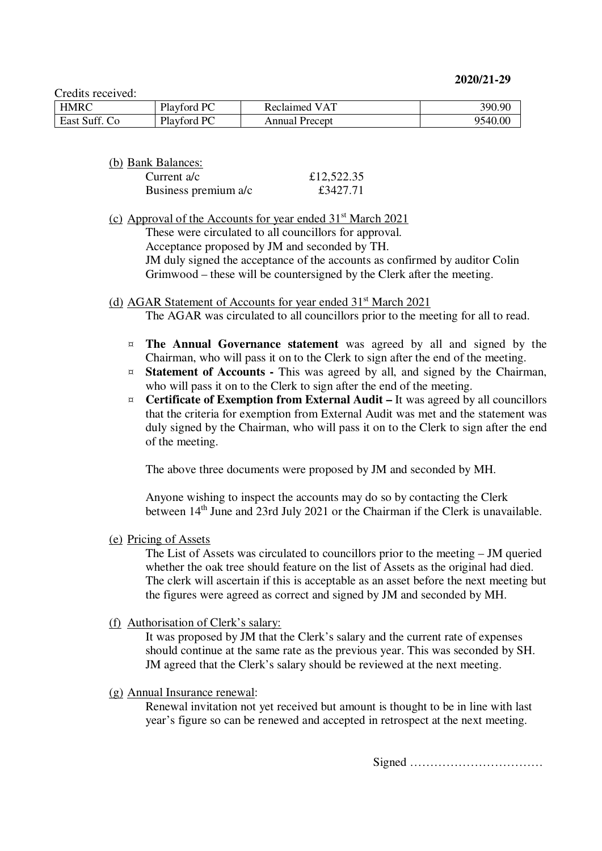**2020/21-29** 

Credits received:

| <b>HMRC</b> | Playford PC | l VAT<br>Reclaimed | 390.90  |
|-------------|-------------|--------------------|---------|
| East Suff.  | Playford PC | Annual Precept     | 9540.00 |

(b) Bank Balances:

| Current $a/c$        | £12,522.35 |
|----------------------|------------|
| Business premium a/c | £3427.71   |

(c) Approval of the Accounts for year ended  $31<sup>st</sup>$  March 2021

These were circulated to all councillors for approval.

Acceptance proposed by JM and seconded by TH.

JM duly signed the acceptance of the accounts as confirmed by auditor Colin Grimwood – these will be countersigned by the Clerk after the meeting.

### (d) AGAR Statement of Accounts for year ended 31<sup>st</sup> March 2021

The AGAR was circulated to all councillors prior to the meeting for all to read.

- ¤ **The Annual Governance statement** was agreed by all and signed by the Chairman, who will pass it on to the Clerk to sign after the end of the meeting.
- ¤ **Statement of Accounts** This was agreed by all, and signed by the Chairman, who will pass it on to the Clerk to sign after the end of the meeting.
- ¤ **Certificate of Exemption from External Audit** It was agreed by all councillors that the criteria for exemption from External Audit was met and the statement was duly signed by the Chairman, who will pass it on to the Clerk to sign after the end of the meeting.

The above three documents were proposed by JM and seconded by MH.

Anyone wishing to inspect the accounts may do so by contacting the Clerk between 14<sup>th</sup> June and 23rd July 2021 or the Chairman if the Clerk is unavailable.

(e) Pricing of Assets

The List of Assets was circulated to councillors prior to the meeting – JM queried whether the oak tree should feature on the list of Assets as the original had died. The clerk will ascertain if this is acceptable as an asset before the next meeting but the figures were agreed as correct and signed by JM and seconded by MH.

(f) Authorisation of Clerk's salary:

It was proposed by JM that the Clerk's salary and the current rate of expenses should continue at the same rate as the previous year. This was seconded by SH. JM agreed that the Clerk's salary should be reviewed at the next meeting.

(g) Annual Insurance renewal:

Renewal invitation not yet received but amount is thought to be in line with last year's figure so can be renewed and accepted in retrospect at the next meeting.

Signed ……………………………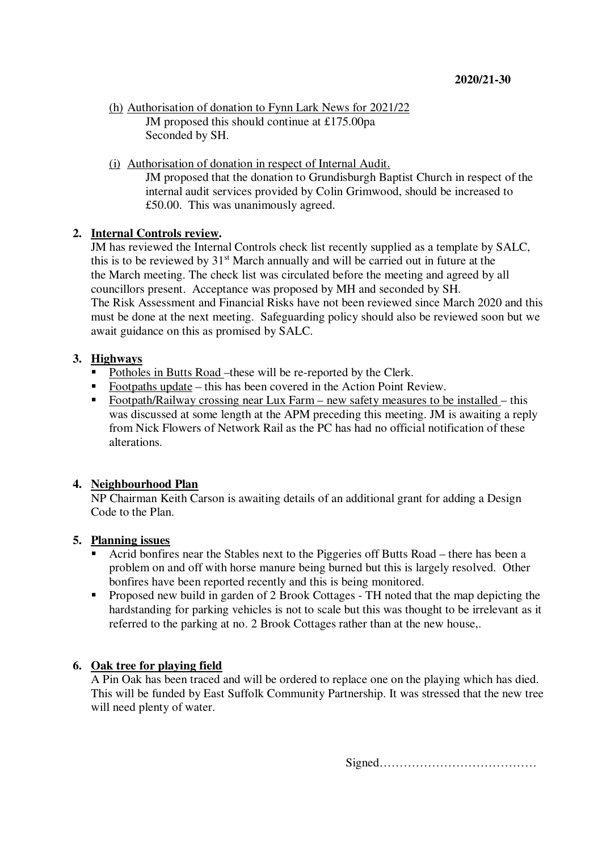```
(h) Authorisation of donation to Fynn Lark News for 2021/22 
JM proposed this should continue at £175.00pa 
Seconded by SH.
```
(i) Authorisation of donation in respect of Internal Audit.

JM proposed that the donation to Grundisburgh Baptist Church in respect of the internal audit services provided by Colin Grimwood, should be increased to £50.00. This was unanimously agreed.

### **2. Internal Controls review.**

JM has reviewed the Internal Controls check list recently supplied as a template by SALC, this is to be reviewed by 31st March annually and will be carried out in future at the the March meeting. The check list was circulated before the meeting and agreed by all councillors present. Acceptance was proposed by MH and seconded by SH. The Risk Assessment and Financial Risks have not been reviewed since March 2020 and this must be done at the next meeting. Safeguarding policy should also be reviewed soon but we await guidance on this as promised by SALC.

## **3. Highways**

- Potholes in Butts Road –these will be re-reported by the Clerk.
- Footpaths update this has been covered in the Action Point Review.
- Footpath/Railway crossing near Lux Farm new safety measures to be installed this was discussed at some length at the APM preceding this meeting. JM is awaiting a reply from Nick Flowers of Network Rail as the PC has had no official notification of these alterations.

## **4. Neighbourhood Plan**

NP Chairman Keith Carson is awaiting details of an additional grant for adding a Design Code to the Plan.

### **5. Planning issues**

- Acrid bonfires near the Stables next to the Piggeries off Butts Road there has been a problem on and off with horse manure being burned but this is largely resolved. Other bonfires have been reported recently and this is being monitored.
- **Proposed new build in garden of 2 Brook Cottages TH noted that the map depicting the** hardstanding for parking vehicles is not to scale but this was thought to be irrelevant as it referred to the parking at no. 2 Brook Cottages rather than at the new house,.

## **6. Oak tree for playing field**

A Pin Oak has been traced and will be ordered to replace one on the playing which has died. This will be funded by East Suffolk Community Partnership. It was stressed that the new tree will need plenty of water.

Signed…………………………………